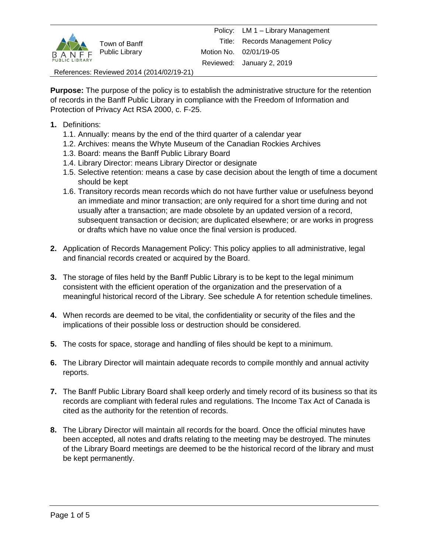

References: Reviewed 2014 (2014/02/19-21)

**Purpose:** The purpose of the policy is to establish the administrative structure for the retention of records in the Banff Public Library in compliance with the Freedom of Information and Protection of Privacy Act RSA 2000, c. F-25.

- **1.** Definitions:
	- 1.1. Annually: means by the end of the third quarter of a calendar year
	- 1.2. Archives: means the Whyte Museum of the Canadian Rockies Archives
	- 1.3. Board: means the Banff Public Library Board
	- 1.4. Library Director: means Library Director or designate
	- 1.5. Selective retention: means a case by case decision about the length of time a document should be kept
	- 1.6. Transitory records mean records which do not have further value or usefulness beyond an immediate and minor transaction; are only required for a short time during and not usually after a transaction; are made obsolete by an updated version of a record, subsequent transaction or decision; are duplicated elsewhere; or are works in progress or drafts which have no value once the final version is produced.
- **2.** Application of Records Management Policy: This policy applies to all administrative, legal and financial records created or acquired by the Board.
- **3.** The storage of files held by the Banff Public Library is to be kept to the legal minimum consistent with the efficient operation of the organization and the preservation of a meaningful historical record of the Library. See schedule A for retention schedule timelines.
- **4.** When records are deemed to be vital, the confidentiality or security of the files and the implications of their possible loss or destruction should be considered.
- **5.** The costs for space, storage and handling of files should be kept to a minimum.
- **6.** The Library Director will maintain adequate records to compile monthly and annual activity reports.
- **7.** The Banff Public Library Board shall keep orderly and timely record of its business so that its records are compliant with federal rules and regulations. The Income Tax Act of Canada is cited as the authority for the retention of records.
- **8.** The Library Director will maintain all records for the board. Once the official minutes have been accepted, all notes and drafts relating to the meeting may be destroyed. The minutes of the Library Board meetings are deemed to be the historical record of the library and must be kept permanently.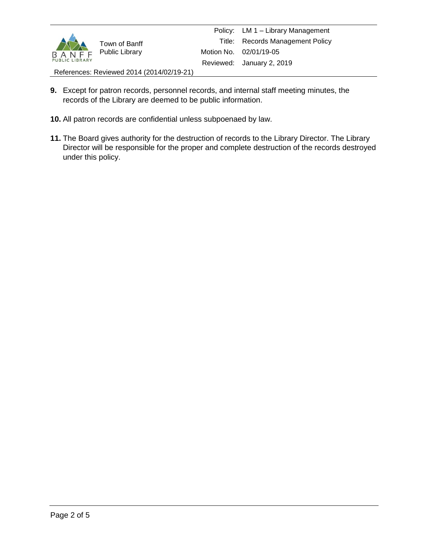

References: Reviewed 2014 (2014/02/19-21)

- **9.** Except for patron records, personnel records, and internal staff meeting minutes, the records of the Library are deemed to be public information.
- **10.** All patron records are confidential unless subpoenaed by law.
- **11.** The Board gives authority for the destruction of records to the Library Director. The Library Director will be responsible for the proper and complete destruction of the records destroyed under this policy.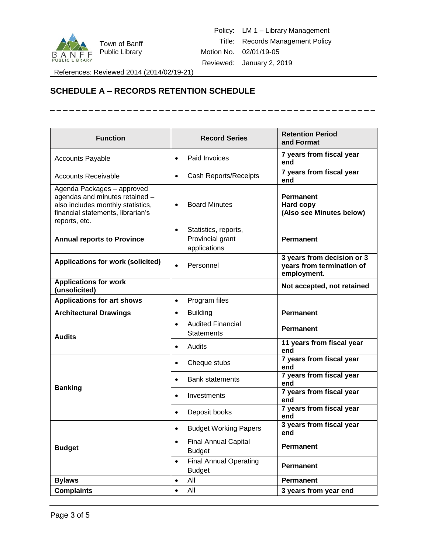

Town of Banff Public Library

Policy: LM 1 – Library Management Title: Records Management Policy Motion No. 02/01/19-05 Reviewed: January 2, 2019

\_\_\_\_\_\_\_\_\_\_\_\_\_\_\_\_\_\_\_

References: Reviewed 2014 (2014/02/19-21)

## **SCHEDULE A – RECORDS RETENTION SCHEDULE**

| <b>Function</b>                                                                                                                                         | <b>Record Series</b>                                                  | <b>Retention Period</b><br>and Format                                  |
|---------------------------------------------------------------------------------------------------------------------------------------------------------|-----------------------------------------------------------------------|------------------------------------------------------------------------|
| <b>Accounts Payable</b>                                                                                                                                 | Paid Invoices                                                         | 7 years from fiscal year<br>end                                        |
| <b>Accounts Receivable</b>                                                                                                                              | Cash Reports/Receipts<br>$\bullet$                                    | 7 years from fiscal year<br>end                                        |
| Agenda Packages - approved<br>agendas and minutes retained -<br>also includes monthly statistics,<br>financial statements, librarian's<br>reports, etc. | <b>Board Minutes</b>                                                  | <b>Permanent</b><br>Hard copy<br>(Also see Minutes below)              |
| <b>Annual reports to Province</b>                                                                                                                       | Statistics, reports,<br>$\bullet$<br>Provincial grant<br>applications | <b>Permanent</b>                                                       |
| <b>Applications for work (solicited)</b>                                                                                                                | Personnel                                                             | 3 years from decision or 3<br>years from termination of<br>employment. |
| <b>Applications for work</b><br>(unsolicited)                                                                                                           |                                                                       | Not accepted, not retained                                             |
| <b>Applications for art shows</b>                                                                                                                       | Program files<br>$\bullet$                                            |                                                                        |
| <b>Architectural Drawings</b>                                                                                                                           | <b>Building</b><br>$\bullet$                                          | <b>Permanent</b>                                                       |
| <b>Audits</b>                                                                                                                                           | <b>Audited Financial</b><br>$\bullet$<br><b>Statements</b>            | <b>Permanent</b>                                                       |
|                                                                                                                                                         | Audits                                                                | 11 years from fiscal year<br>end                                       |
| <b>Banking</b>                                                                                                                                          | Cheque stubs<br>٠                                                     | 7 years from fiscal year<br>end                                        |
|                                                                                                                                                         | <b>Bank statements</b><br>$\bullet$                                   | 7 years from fiscal year<br>end                                        |
|                                                                                                                                                         | Investments<br>$\bullet$                                              | 7 years from fiscal year<br>end                                        |
|                                                                                                                                                         | Deposit books                                                         | 7 years from fiscal year<br>end                                        |
| <b>Budget</b>                                                                                                                                           | <b>Budget Working Papers</b><br>$\bullet$                             | 3 years from fiscal year<br>end                                        |
|                                                                                                                                                         | <b>Final Annual Capital</b><br>$\bullet$<br><b>Budget</b>             | <b>Permanent</b>                                                       |
|                                                                                                                                                         | <b>Final Annual Operating</b><br>$\bullet$<br><b>Budget</b>           | <b>Permanent</b>                                                       |
| <b>Bylaws</b>                                                                                                                                           | All<br>$\bullet$                                                      | <b>Permanent</b>                                                       |
| <b>Complaints</b>                                                                                                                                       | All<br>$\bullet$                                                      | 3 years from year end                                                  |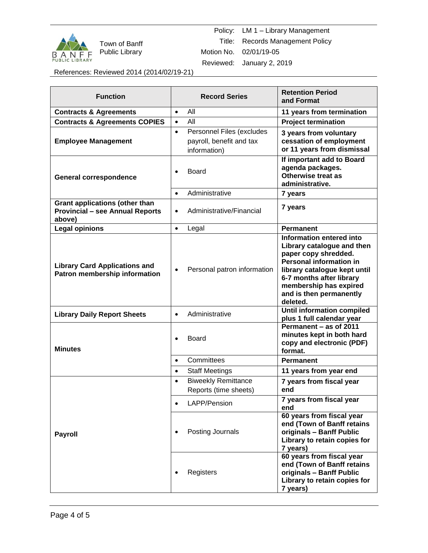

Town of Banff Public Library

Policy: LM 1 – Library Management Title: Records Management Policy Motion No. 02/01/19-05 Reviewed: January 2, 2019

References: Reviewed 2014 (2014/02/19-21)

| <b>Function</b>                                                                           | <b>Record Series</b>                                                               | <b>Retention Period</b><br>and Format                                                                                                                                                                                                         |
|-------------------------------------------------------------------------------------------|------------------------------------------------------------------------------------|-----------------------------------------------------------------------------------------------------------------------------------------------------------------------------------------------------------------------------------------------|
| <b>Contracts &amp; Agreements</b>                                                         | All<br>$\bullet$                                                                   | 11 years from termination                                                                                                                                                                                                                     |
| <b>Contracts &amp; Agreements COPIES</b>                                                  | All<br>$\bullet$                                                                   | <b>Project termination</b>                                                                                                                                                                                                                    |
| <b>Employee Management</b>                                                                | Personnel Files (excludes<br>$\bullet$<br>payroll, benefit and tax<br>information) | 3 years from voluntary<br>cessation of employment<br>or 11 years from dismissal                                                                                                                                                               |
| <b>General correspondence</b>                                                             | Board<br>$\bullet$                                                                 | If important add to Board<br>agenda packages.<br>Otherwise treat as<br>administrative.                                                                                                                                                        |
|                                                                                           | Administrative<br>$\bullet$                                                        | 7 years                                                                                                                                                                                                                                       |
| <b>Grant applications (other than</b><br><b>Provincial - see Annual Reports</b><br>above) | Administrative/Financial<br>$\bullet$                                              | 7 years                                                                                                                                                                                                                                       |
| <b>Legal opinions</b>                                                                     | Legal<br>$\bullet$                                                                 | <b>Permanent</b>                                                                                                                                                                                                                              |
| <b>Library Card Applications and</b><br>Patron membership information                     | Personal patron information<br>$\bullet$                                           | Information entered into<br>Library catalogue and then<br>paper copy shredded.<br><b>Personal information in</b><br>library catalogue kept until<br>6-7 months after library<br>membership has expired<br>and is then permanently<br>deleted. |
| <b>Library Daily Report Sheets</b>                                                        | Administrative<br>$\bullet$                                                        | <b>Until information compiled</b><br>plus 1 full calendar year                                                                                                                                                                                |
| <b>Minutes</b>                                                                            | <b>Board</b><br>$\bullet$                                                          | Permanent - as of 2011<br>minutes kept in both hard<br>copy and electronic (PDF)<br>format.                                                                                                                                                   |
|                                                                                           | Committees<br>$\bullet$                                                            | <b>Permanent</b>                                                                                                                                                                                                                              |
|                                                                                           | <b>Staff Meetings</b><br>$\bullet$                                                 | 11 years from year end                                                                                                                                                                                                                        |
| <b>Payroll</b>                                                                            | <b>Biweekly Remittance</b><br>$\bullet$                                            | 7 years from fiscal year                                                                                                                                                                                                                      |
|                                                                                           | Reports (time sheets)                                                              | end                                                                                                                                                                                                                                           |
|                                                                                           | LAPP/Pension<br>$\bullet$                                                          | 7 years from fiscal year<br>end                                                                                                                                                                                                               |
|                                                                                           | Posting Journals                                                                   | 60 years from fiscal year<br>end (Town of Banff retains<br>originals - Banff Public<br>Library to retain copies for<br>7 years)                                                                                                               |
|                                                                                           | Registers                                                                          | 60 years from fiscal year<br>end (Town of Banff retains<br>originals - Banff Public<br>Library to retain copies for<br>7 years)                                                                                                               |